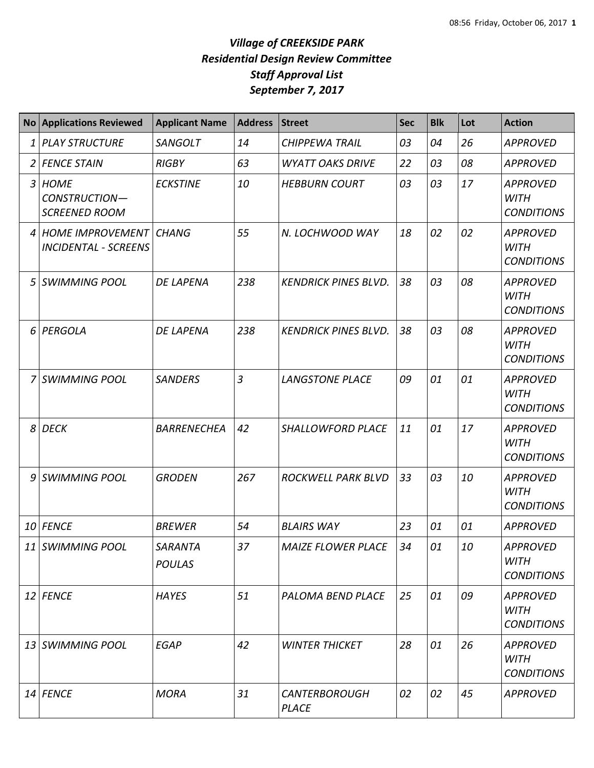## *Village of CREEKSIDE PARK Residential Design Review Committee Staff Approval List September 7, 2017*

|   | <b>No Applications Reviewed</b>                         | <b>Applicant Name</b>    | <b>Address</b> | <b>Street</b>                        | <b>Sec</b> | <b>Blk</b> | Lot    | <b>Action</b>                                       |
|---|---------------------------------------------------------|--------------------------|----------------|--------------------------------------|------------|------------|--------|-----------------------------------------------------|
| 1 | <b>PLAY STRUCTURE</b>                                   | SANGOLT                  | 14             | <b>CHIPPEWA TRAIL</b>                | 03         | 04         | 26     | <b>APPROVED</b>                                     |
|   | 2 FENCE STAIN                                           | <b>RIGBY</b>             | 63             | <b>WYATT OAKS DRIVE</b>              | 22         | 03         | 08     | <b>APPROVED</b>                                     |
|   | 3 HOME<br>CONSTRUCTION-<br><b>SCREENED ROOM</b>         | <b>ECKSTINE</b>          | 10             | <b>HEBBURN COURT</b>                 | 03         | 03         | 17     | <b>APPROVED</b><br><b>WITH</b><br><b>CONDITIONS</b> |
|   | 4 HOME IMPROVEMENT CHANG<br><b>INCIDENTAL - SCREENS</b> |                          | 55             | N. LOCHWOOD WAY                      | 18         | 02         | 02     | <b>APPROVED</b><br><b>WITH</b><br><b>CONDITIONS</b> |
|   | 5 SWIMMING POOL                                         | <b>DE LAPENA</b>         | 238            | <b>KENDRICK PINES BLVD.</b>          | 38         | 03         | 08     | <b>APPROVED</b><br><b>WITH</b><br><b>CONDITIONS</b> |
|   | 6 PERGOLA                                               | <b>DE LAPENA</b>         | 238            | <b>KENDRICK PINES BLVD.</b>          | 38         | 03         | 08     | <b>APPROVED</b><br><b>WITH</b><br><b>CONDITIONS</b> |
|   | SWIMMING POOL                                           | <b>SANDERS</b>           | $\overline{3}$ | <b>LANGSTONE PLACE</b>               | 09         | 01         | 01     | <b>APPROVED</b><br><b>WITH</b><br><b>CONDITIONS</b> |
| 8 | <b>DECK</b>                                             | <b>BARRENECHEA</b>       | 42             | SHALLOWFORD PLACE                    | 11         | 01         | 17     | <b>APPROVED</b><br><b>WITH</b><br><b>CONDITIONS</b> |
|   | 9 SWIMMING POOL                                         | <b>GRODEN</b>            | 267            | ROCKWELL PARK BLVD                   | 33         | 03         | 10     | <b>APPROVED</b><br><b>WITH</b><br><b>CONDITIONS</b> |
|   | 10 FENCE                                                | <b>BREWER</b>            | 54             | <b>BLAIRS WAY</b>                    | 23         | 01         | 01     | <b>APPROVED</b>                                     |
|   | 11 SWIMMING POOL                                        | SARANTA<br><b>POULAS</b> | 37             | <b>MAIZE FLOWER PLACE</b>            | 34         | 01         | $10\,$ | <b>APPROVED</b><br><b>WITH</b><br><b>CONDITIONS</b> |
|   | 12 FENCE                                                | <b>HAYES</b>             | 51             | PALOMA BEND PLACE                    | 25         | 01         | 09     | <b>APPROVED</b><br><b>WITH</b><br><b>CONDITIONS</b> |
|   | 13 SWIMMING POOL                                        | <b>EGAP</b>              | 42             | <b>WINTER THICKET</b>                | 28         | 01         | 26     | <b>APPROVED</b><br>WITH<br><b>CONDITIONS</b>        |
|   | 14 FENCE                                                | <b>MORA</b>              | 31             | <b>CANTERBOROUGH</b><br><b>PLACE</b> | 02         | 02         | 45     | <b>APPROVED</b>                                     |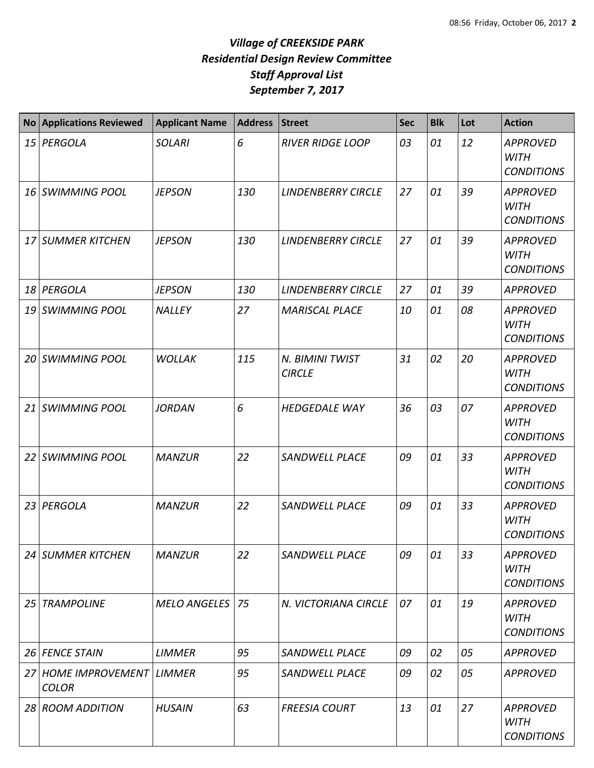## *Village of CREEKSIDE PARK Residential Design Review Committee Staff Approval List September 7, 2017*

| <b>No</b>       | <b>Applications Reviewed</b>               | <b>Applicant Name</b> | <b>Address</b> | <b>Street</b>                    | <b>Sec</b> | <b>Blk</b> | Lot | <b>Action</b>                                       |
|-----------------|--------------------------------------------|-----------------------|----------------|----------------------------------|------------|------------|-----|-----------------------------------------------------|
| 15 <sub>l</sub> | PERGOLA                                    | <b>SOLARI</b>         | 6              | <b>RIVER RIDGE LOOP</b>          | 03         | 01         | 12  | <b>APPROVED</b><br><b>WITH</b><br><b>CONDITIONS</b> |
|                 | 16 SWIMMING POOL                           | <b>JEPSON</b>         | 130            | <b>LINDENBERRY CIRCLE</b>        | 27         | 01         | 39  | <b>APPROVED</b><br><b>WITH</b><br><b>CONDITIONS</b> |
|                 | 17 SUMMER KITCHEN                          | <b>JEPSON</b>         | 130            | <b>LINDENBERRY CIRCLE</b>        | 27         | 01         | 39  | <b>APPROVED</b><br><b>WITH</b><br><b>CONDITIONS</b> |
| 18              | <b>PERGOLA</b>                             | <b>JEPSON</b>         | 130            | <b>LINDENBERRY CIRCLE</b>        | 27         | 01         | 39  | <b>APPROVED</b>                                     |
| 19 I            | <b>SWIMMING POOL</b>                       | <b>NALLEY</b>         | 27             | <b>MARISCAL PLACE</b>            | 10         | 01         | 08  | <b>APPROVED</b><br><b>WITH</b><br><b>CONDITIONS</b> |
| 20              | <b>SWIMMING POOL</b>                       | <b>WOLLAK</b>         | 115            | N. BIMINI TWIST<br><b>CIRCLE</b> | 31         | 02         | 20  | <b>APPROVED</b><br><b>WITH</b><br><b>CONDITIONS</b> |
| 21              | <b>SWIMMING POOL</b>                       | <b>JORDAN</b>         | 6              | <b>HEDGEDALE WAY</b>             | 36         | 03         | 07  | <b>APPROVED</b><br><b>WITH</b><br><b>CONDITIONS</b> |
| 22              | <b>SWIMMING POOL</b>                       | <b>MANZUR</b>         | 22             | <b>SANDWELL PLACE</b>            | 09         | 01         | 33  | <b>APPROVED</b><br><b>WITH</b><br><b>CONDITIONS</b> |
| 23              | PERGOLA                                    | <b>MANZUR</b>         | 22             | <b>SANDWELL PLACE</b>            | 09         | 01         | 33  | <b>APPROVED</b><br><b>WITH</b><br><b>CONDITIONS</b> |
|                 | 24 SUMMER KITCHEN                          | <b>MANZUR</b>         | 22             | <b>SANDWELL PLACE</b>            | 09         | 01         | 33  | <b>APPROVED</b><br><b>WITH</b><br><b>CONDITIONS</b> |
| 25              | <b>TRAMPOLINE</b>                          | <b>MELO ANGELES</b>   | 75             | N. VICTORIANA CIRCLE             | 07         | 01         | 19  | <b>APPROVED</b><br><b>WITH</b><br><b>CONDITIONS</b> |
| 26 I            | <b>FENCE STAIN</b>                         | <b>LIMMER</b>         | 95             | SANDWELL PLACE                   | 09         | 02         | 05  | <b>APPROVED</b>                                     |
|                 | 27 HOME IMPROVEMENT LIMMER<br><b>COLOR</b> |                       | 95             | <b>SANDWELL PLACE</b>            | 09         | 02         | 05  | <b>APPROVED</b>                                     |
|                 | 28 ROOM ADDITION                           | <b>HUSAIN</b>         | 63             | <b>FREESIA COURT</b>             | 13         | 01         | 27  | <b>APPROVED</b><br><b>WITH</b><br><b>CONDITIONS</b> |